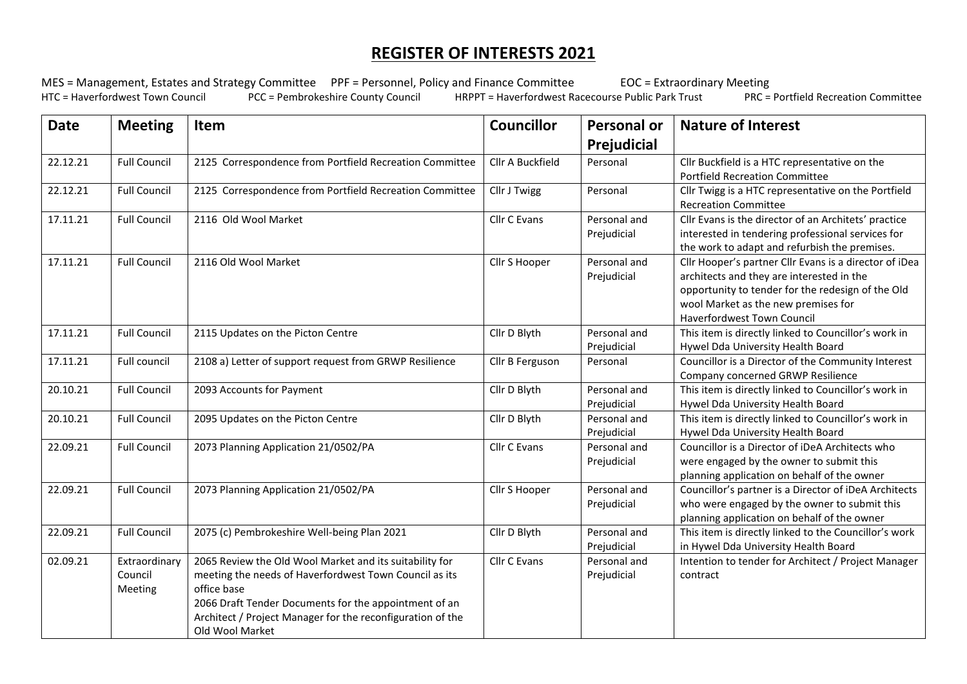## **REGISTER OF INTERESTS 2021**

MES = Management, Estates and Strategy Committee PPF = Personnel, Policy and Finance Committee EOC = Extraordinary Meeting<br>HTC = Haverfordwest Town Council PCC = Pembrokeshire County Council HRPPT = Haverfordwest Racecours HRPPT = Haverfordwest Racecourse Public Park Trust

| <b>Date</b> | <b>Meeting</b>                      | Item                                                                                                                                                                                                                                                                       | <b>Councillor</b> | <b>Personal or</b><br>Prejudicial | <b>Nature of Interest</b>                                                                                                                                                                                                     |
|-------------|-------------------------------------|----------------------------------------------------------------------------------------------------------------------------------------------------------------------------------------------------------------------------------------------------------------------------|-------------------|-----------------------------------|-------------------------------------------------------------------------------------------------------------------------------------------------------------------------------------------------------------------------------|
| 22.12.21    | <b>Full Council</b>                 | 2125 Correspondence from Portfield Recreation Committee                                                                                                                                                                                                                    | Cllr A Buckfield  | Personal                          | Cllr Buckfield is a HTC representative on the<br><b>Portfield Recreation Committee</b>                                                                                                                                        |
| 22.12.21    | <b>Full Council</b>                 | 2125 Correspondence from Portfield Recreation Committee                                                                                                                                                                                                                    | Cllr J Twigg      | Personal                          | Cllr Twigg is a HTC representative on the Portfield<br><b>Recreation Committee</b>                                                                                                                                            |
| 17.11.21    | <b>Full Council</b>                 | 2116 Old Wool Market                                                                                                                                                                                                                                                       | Cllr C Evans      | Personal and<br>Prejudicial       | Cllr Evans is the director of an Architets' practice<br>interested in tendering professional services for<br>the work to adapt and refurbish the premises.                                                                    |
| 17.11.21    | <b>Full Council</b>                 | 2116 Old Wool Market                                                                                                                                                                                                                                                       | Cllr S Hooper     | Personal and<br>Prejudicial       | Cllr Hooper's partner Cllr Evans is a director of iDea<br>architects and they are interested in the<br>opportunity to tender for the redesign of the Old<br>wool Market as the new premises for<br>Haverfordwest Town Council |
| 17.11.21    | <b>Full Council</b>                 | 2115 Updates on the Picton Centre                                                                                                                                                                                                                                          | Cllr D Blyth      | Personal and<br>Prejudicial       | This item is directly linked to Councillor's work in<br>Hywel Dda University Health Board                                                                                                                                     |
| 17.11.21    | Full council                        | 2108 a) Letter of support request from GRWP Resilience                                                                                                                                                                                                                     | Cllr B Ferguson   | Personal                          | Councillor is a Director of the Community Interest<br>Company concerned GRWP Resilience                                                                                                                                       |
| 20.10.21    | <b>Full Council</b>                 | 2093 Accounts for Payment                                                                                                                                                                                                                                                  | Cllr D Blyth      | Personal and<br>Prejudicial       | This item is directly linked to Councillor's work in<br>Hywel Dda University Health Board                                                                                                                                     |
| 20.10.21    | <b>Full Council</b>                 | 2095 Updates on the Picton Centre                                                                                                                                                                                                                                          | Cllr D Blyth      | Personal and<br>Prejudicial       | This item is directly linked to Councillor's work in<br>Hywel Dda University Health Board                                                                                                                                     |
| 22.09.21    | <b>Full Council</b>                 | 2073 Planning Application 21/0502/PA                                                                                                                                                                                                                                       | Cllr C Evans      | Personal and<br>Prejudicial       | Councillor is a Director of iDeA Architects who<br>were engaged by the owner to submit this<br>planning application on behalf of the owner                                                                                    |
| 22.09.21    | <b>Full Council</b>                 | 2073 Planning Application 21/0502/PA                                                                                                                                                                                                                                       | Cllr S Hooper     | Personal and<br>Prejudicial       | Councillor's partner is a Director of iDeA Architects<br>who were engaged by the owner to submit this<br>planning application on behalf of the owner                                                                          |
| 22.09.21    | <b>Full Council</b>                 | 2075 (c) Pembrokeshire Well-being Plan 2021                                                                                                                                                                                                                                | Cllr D Blyth      | Personal and<br>Prejudicial       | This item is directly linked to the Councillor's work<br>in Hywel Dda University Health Board                                                                                                                                 |
| 02.09.21    | Extraordinary<br>Council<br>Meeting | 2065 Review the Old Wool Market and its suitability for<br>meeting the needs of Haverfordwest Town Council as its<br>office base<br>2066 Draft Tender Documents for the appointment of an<br>Architect / Project Manager for the reconfiguration of the<br>Old Wool Market | Cllr C Evans      | Personal and<br>Prejudicial       | Intention to tender for Architect / Project Manager<br>contract                                                                                                                                                               |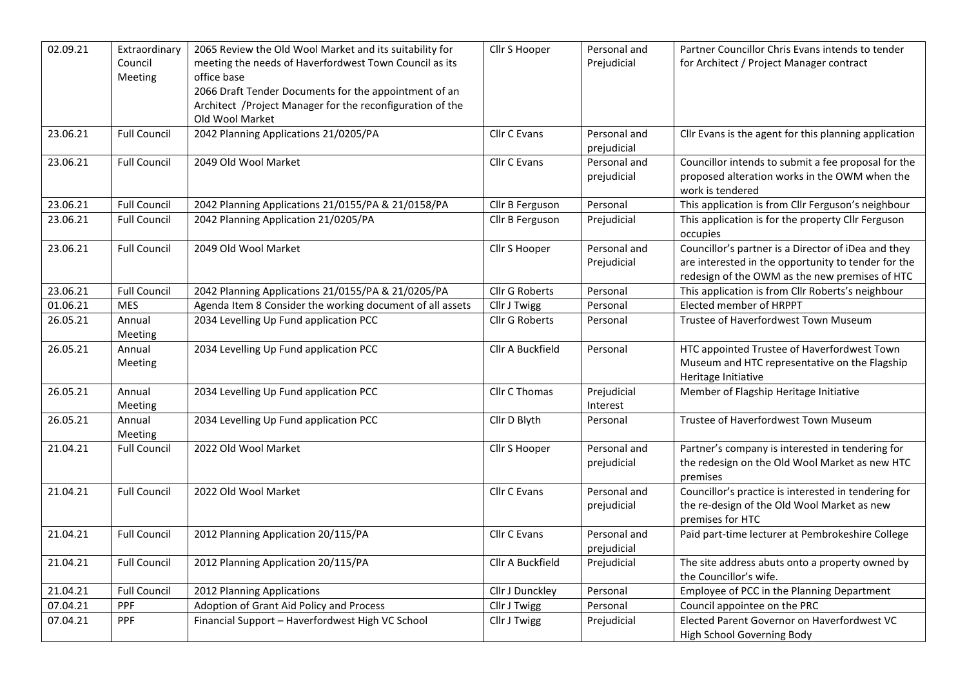| 02.09.21 | Extraordinary<br>Council<br>Meeting | 2065 Review the Old Wool Market and its suitability for<br>meeting the needs of Haverfordwest Town Council as its<br>office base<br>2066 Draft Tender Documents for the appointment of an<br>Architect /Project Manager for the reconfiguration of the<br>Old Wool Market | Cllr S Hooper    | Personal and<br>Prejudicial | Partner Councillor Chris Evans intends to tender<br>for Architect / Project Manager contract                                                                 |
|----------|-------------------------------------|---------------------------------------------------------------------------------------------------------------------------------------------------------------------------------------------------------------------------------------------------------------------------|------------------|-----------------------------|--------------------------------------------------------------------------------------------------------------------------------------------------------------|
| 23.06.21 | <b>Full Council</b>                 | 2042 Planning Applications 21/0205/PA                                                                                                                                                                                                                                     | Cllr C Evans     | Personal and<br>prejudicial | Cllr Evans is the agent for this planning application                                                                                                        |
| 23.06.21 | <b>Full Council</b>                 | 2049 Old Wool Market                                                                                                                                                                                                                                                      | Cllr C Evans     | Personal and<br>prejudicial | Councillor intends to submit a fee proposal for the<br>proposed alteration works in the OWM when the<br>work is tendered                                     |
| 23.06.21 | <b>Full Council</b>                 | 2042 Planning Applications 21/0155/PA & 21/0158/PA                                                                                                                                                                                                                        | Cllr B Ferguson  | Personal                    | This application is from Cllr Ferguson's neighbour                                                                                                           |
| 23.06.21 | <b>Full Council</b>                 | 2042 Planning Application 21/0205/PA                                                                                                                                                                                                                                      | Cllr B Ferguson  | Prejudicial                 | This application is for the property Cllr Ferguson<br>occupies                                                                                               |
| 23.06.21 | <b>Full Council</b>                 | 2049 Old Wool Market                                                                                                                                                                                                                                                      | Cllr S Hooper    | Personal and<br>Prejudicial | Councillor's partner is a Director of iDea and they<br>are interested in the opportunity to tender for the<br>redesign of the OWM as the new premises of HTC |
| 23.06.21 | <b>Full Council</b>                 | 2042 Planning Applications 21/0155/PA & 21/0205/PA                                                                                                                                                                                                                        | Cllr G Roberts   | Personal                    | This application is from Cllr Roberts's neighbour                                                                                                            |
| 01.06.21 | <b>MES</b>                          | Agenda Item 8 Consider the working document of all assets                                                                                                                                                                                                                 | Cllr J Twigg     | Personal                    | Elected member of HRPPT                                                                                                                                      |
| 26.05.21 | Annual<br>Meeting                   | 2034 Levelling Up Fund application PCC                                                                                                                                                                                                                                    | Cllr G Roberts   | Personal                    | Trustee of Haverfordwest Town Museum                                                                                                                         |
| 26.05.21 | Annual<br>Meeting                   | 2034 Levelling Up Fund application PCC                                                                                                                                                                                                                                    | Cllr A Buckfield | Personal                    | HTC appointed Trustee of Haverfordwest Town<br>Museum and HTC representative on the Flagship<br>Heritage Initiative                                          |
| 26.05.21 | Annual<br>Meeting                   | 2034 Levelling Up Fund application PCC                                                                                                                                                                                                                                    | Cllr C Thomas    | Prejudicial<br>Interest     | Member of Flagship Heritage Initiative                                                                                                                       |
| 26.05.21 | Annual<br>Meeting                   | 2034 Levelling Up Fund application PCC                                                                                                                                                                                                                                    | Cllr D Blyth     | Personal                    | Trustee of Haverfordwest Town Museum                                                                                                                         |
| 21.04.21 | <b>Full Council</b>                 | 2022 Old Wool Market                                                                                                                                                                                                                                                      | Cllr S Hooper    | Personal and<br>prejudicial | Partner's company is interested in tendering for<br>the redesign on the Old Wool Market as new HTC<br>premises                                               |
| 21.04.21 | <b>Full Council</b>                 | 2022 Old Wool Market                                                                                                                                                                                                                                                      | Cllr C Evans     | Personal and<br>prejudicial | Councillor's practice is interested in tendering for<br>the re-design of the Old Wool Market as new<br>premises for HTC                                      |
| 21.04.21 | <b>Full Council</b>                 | 2012 Planning Application 20/115/PA                                                                                                                                                                                                                                       | Cllr C Evans     | Personal and<br>prejudicial | Paid part-time lecturer at Pembrokeshire College                                                                                                             |
| 21.04.21 | <b>Full Council</b>                 | 2012 Planning Application 20/115/PA                                                                                                                                                                                                                                       | Cllr A Buckfield | Prejudicial                 | The site address abuts onto a property owned by<br>the Councillor's wife.                                                                                    |
| 21.04.21 | <b>Full Council</b>                 | 2012 Planning Applications                                                                                                                                                                                                                                                | Cllr J Dunckley  | Personal                    | Employee of PCC in the Planning Department                                                                                                                   |
| 07.04.21 | <b>PPF</b>                          | Adoption of Grant Aid Policy and Process                                                                                                                                                                                                                                  | Cllr J Twigg     | Personal                    | Council appointee on the PRC                                                                                                                                 |
| 07.04.21 | <b>PPF</b>                          | Financial Support - Haverfordwest High VC School                                                                                                                                                                                                                          | Cllr J Twigg     | Prejudicial                 | Elected Parent Governor on Haverfordwest VC<br>High School Governing Body                                                                                    |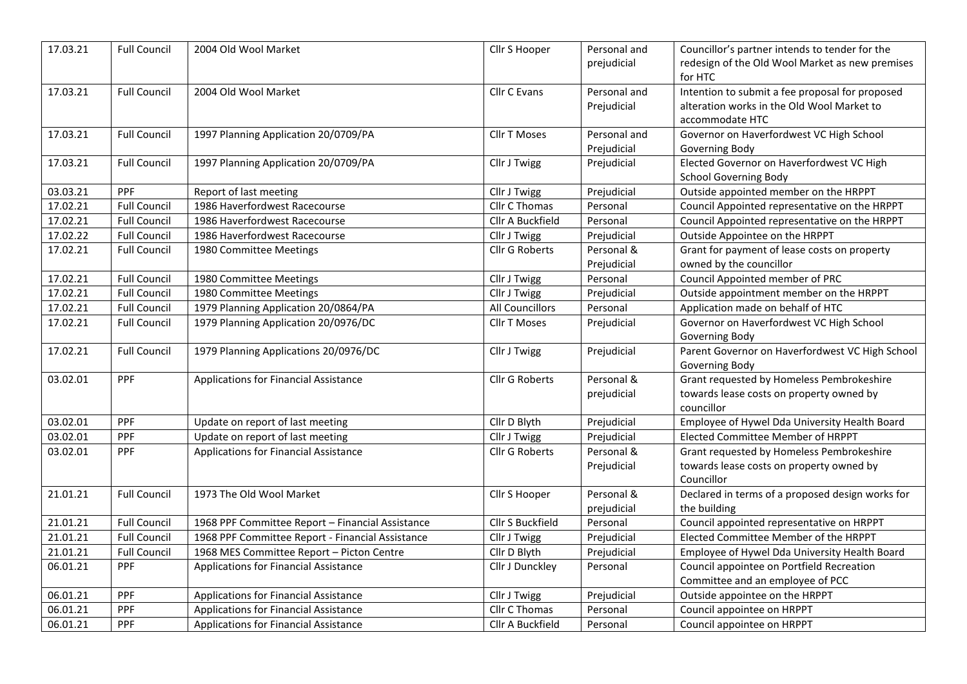| 17.03.21 | <b>Full Council</b> | 2004 Old Wool Market                             | Cllr S Hooper         | Personal and<br>prejudicial | Councillor's partner intends to tender for the<br>redesign of the Old Wool Market as new premises<br>for HTC     |
|----------|---------------------|--------------------------------------------------|-----------------------|-----------------------------|------------------------------------------------------------------------------------------------------------------|
| 17.03.21 | <b>Full Council</b> | 2004 Old Wool Market                             | Cllr C Evans          | Personal and<br>Prejudicial | Intention to submit a fee proposal for proposed<br>alteration works in the Old Wool Market to<br>accommodate HTC |
| 17.03.21 | <b>Full Council</b> | 1997 Planning Application 20/0709/PA             | Cllr T Moses          | Personal and<br>Prejudicial | Governor on Haverfordwest VC High School<br>Governing Body                                                       |
| 17.03.21 | <b>Full Council</b> | 1997 Planning Application 20/0709/PA             | Cllr J Twigg          | Prejudicial                 | Elected Governor on Haverfordwest VC High<br><b>School Governing Body</b>                                        |
| 03.03.21 | PPF                 | Report of last meeting                           | Cllr J Twigg          | Prejudicial                 | Outside appointed member on the HRPPT                                                                            |
| 17.02.21 | <b>Full Council</b> | 1986 Haverfordwest Racecourse                    | Cllr C Thomas         | Personal                    | Council Appointed representative on the HRPPT                                                                    |
| 17.02.21 | <b>Full Council</b> | 1986 Haverfordwest Racecourse                    | Cllr A Buckfield      | Personal                    | Council Appointed representative on the HRPPT                                                                    |
| 17.02.22 | <b>Full Council</b> | 1986 Haverfordwest Racecourse                    | Cllr J Twigg          | Prejudicial                 | Outside Appointee on the HRPPT                                                                                   |
| 17.02.21 | <b>Full Council</b> | 1980 Committee Meetings                          | <b>Cllr G Roberts</b> | Personal &                  | Grant for payment of lease costs on property                                                                     |
|          |                     |                                                  |                       | Prejudicial                 | owned by the councillor                                                                                          |
| 17.02.21 | <b>Full Council</b> | 1980 Committee Meetings                          | Cllr J Twigg          | Personal                    | Council Appointed member of PRC                                                                                  |
| 17.02.21 | <b>Full Council</b> | 1980 Committee Meetings                          | Cllr J Twigg          | Prejudicial                 | Outside appointment member on the HRPPT                                                                          |
| 17.02.21 | <b>Full Council</b> | 1979 Planning Application 20/0864/PA             | All Councillors       | Personal                    | Application made on behalf of HTC                                                                                |
| 17.02.21 | <b>Full Council</b> | 1979 Planning Application 20/0976/DC             | Cllr T Moses          | Prejudicial                 | Governor on Haverfordwest VC High School<br>Governing Body                                                       |
| 17.02.21 | <b>Full Council</b> | 1979 Planning Applications 20/0976/DC            | Cllr J Twigg          | Prejudicial                 | Parent Governor on Haverfordwest VC High School<br>Governing Body                                                |
| 03.02.01 | PPF                 | Applications for Financial Assistance            | Cllr G Roberts        | Personal &<br>prejudicial   | Grant requested by Homeless Pembrokeshire<br>towards lease costs on property owned by<br>councillor              |
| 03.02.01 | PPF                 | Update on report of last meeting                 | Cllr D Blyth          | Prejudicial                 | Employee of Hywel Dda University Health Board                                                                    |
| 03.02.01 | PPF                 | Update on report of last meeting                 | Cllr J Twigg          | Prejudicial                 | Elected Committee Member of HRPPT                                                                                |
| 03.02.01 | <b>PPF</b>          | Applications for Financial Assistance            | Cllr G Roberts        | Personal &<br>Prejudicial   | Grant requested by Homeless Pembrokeshire<br>towards lease costs on property owned by<br>Councillor              |
| 21.01.21 | Full Council        | 1973 The Old Wool Market                         | Cllr S Hooper         | Personal &<br>prejudicial   | Declared in terms of a proposed design works for<br>the building                                                 |
| 21.01.21 | <b>Full Council</b> | 1968 PPF Committee Report - Financial Assistance | Cllr S Buckfield      | Personal                    | Council appointed representative on HRPPT                                                                        |
| 21.01.21 | <b>Full Council</b> | 1968 PPF Committee Report - Financial Assistance | Cllr J Twigg          | Prejudicial                 | Elected Committee Member of the HRPPT                                                                            |
| 21.01.21 | <b>Full Council</b> | 1968 MES Committee Report - Picton Centre        | Cllr D Blyth          | Prejudicial                 | Employee of Hywel Dda University Health Board                                                                    |
| 06.01.21 | <b>PPF</b>          | Applications for Financial Assistance            | Cllr J Dunckley       | Personal                    | Council appointee on Portfield Recreation<br>Committee and an employee of PCC                                    |
| 06.01.21 | PPF                 | Applications for Financial Assistance            | Cllr J Twigg          | Prejudicial                 | Outside appointee on the HRPPT                                                                                   |
| 06.01.21 | PPF                 | Applications for Financial Assistance            | Cllr C Thomas         | Personal                    | Council appointee on HRPPT                                                                                       |
| 06.01.21 | PPF                 | Applications for Financial Assistance            | Cllr A Buckfield      | Personal                    | Council appointee on HRPPT                                                                                       |